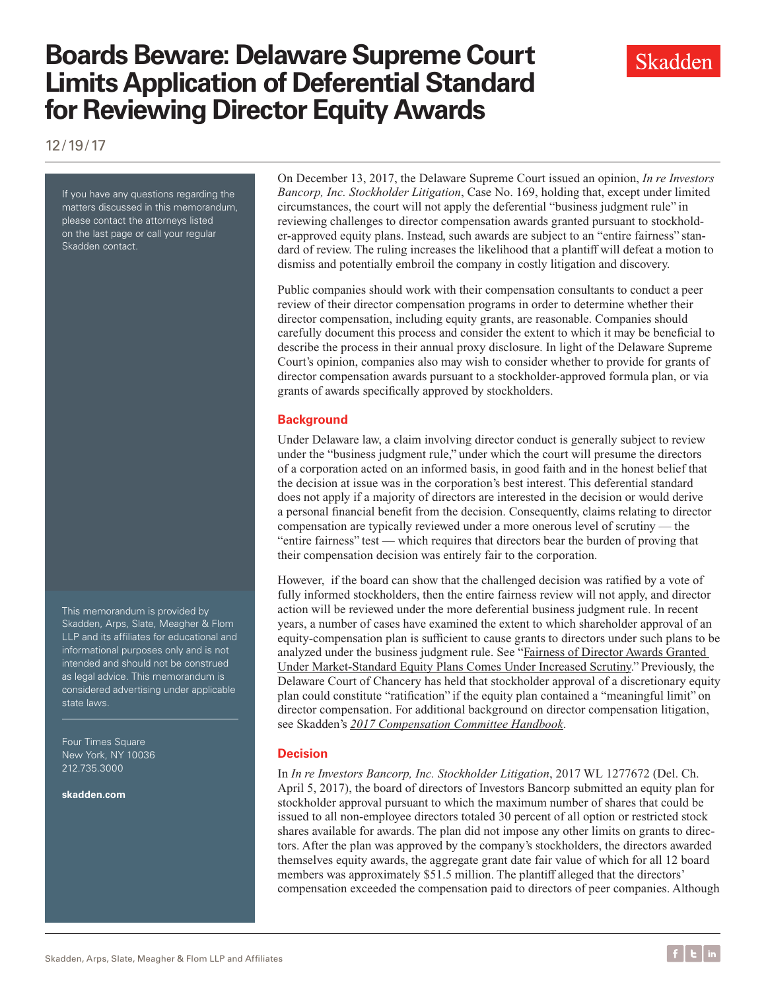# **Boards Beware: Delaware Supreme Court Limits Application of Deferential Standard for Reviewing Director Equity Awards**



If you have any questions regarding the matters discussed in this memorandum, please contact the attorneys listed on the last page or call your regular Skadden contact.

This memorandum is provided by Skadden, Arps, Slate, Meagher & Flom LLP and its affiliates for educational and informational purposes only and is not intended and should not be construed as legal advice. This memorandum is considered advertising under applicable state laws.

Four Times Square New York, NY 10036 212.735.3000

**[skadden.com](http://www.skadden.com)**

On December 13, 2017, the Delaware Supreme Court issued an opinion, *In re Investors Bancorp, Inc. Stockholder Litigation*, Case No. 169, holding that, except under limited circumstances, the court will not apply the deferential "business judgment rule" in reviewing challenges to director compensation awards granted pursuant to stockholder-approved equity plans. Instead, such awards are subject to an "entire fairness" standard of review. The ruling increases the likelihood that a plantiff will defeat a motion to dismiss and potentially embroil the company in costly litigation and discovery.

Public companies should work with their compensation consultants to conduct a peer review of their director compensation programs in order to determine whether their director compensation, including equity grants, are reasonable. Companies should carefully document this process and consider the extent to which it may be beneficial to describe the process in their annual proxy disclosure. In light of the Delaware Supreme Court's opinion, companies also may wish to consider whether to provide for grants of director compensation awards pursuant to a stockholder-approved formula plan, or via grants of awards specifically approved by stockholders.

### **Background**

Under Delaware law, a claim involving director conduct is generally subject to review under the "business judgment rule," under which the court will presume the directors of a corporation acted on an informed basis, in good faith and in the honest belief that the decision at issue was in the corporation's best interest. This deferential standard does not apply if a majority of directors are interested in the decision or would derive a personal financial benefit from the decision. Consequently, claims relating to director compensation are typically reviewed under a more onerous level of scrutiny — the "entire fairness" test — which requires that directors bear the burden of proving that their compensation decision was entirely fair to the corporation.

However, if the board can show that the challenged decision was ratified by a vote of fully informed stockholders, then the entire fairness review will not apply, and director action will be reviewed under the more deferential business judgment rule. In recent years, a number of cases have examined the extent to which shareholder approval of an equity-compensation plan is sufficient to cause grants to directors under such plans to be analyzed under the business judgment rule. See "[Fairness of Director Awards Granted](https://www.skadden.com/insights/publications/2015/05/fairness-of-director-awards-granted-under-marketst)  [Under Market-Standard Equity Plans Comes Under Increased Scrutiny.](https://www.skadden.com/insights/publications/2015/05/fairness-of-director-awards-granted-under-marketst)" Previously, the Delaware Court of Chancery has held that stockholder approval of a discretionary equity plan could constitute "ratification" if the equity plan contained a "meaningful limit" on director compensation. For additional background on director compensation litigation, see Skadden's *[2017 Compensation Committee Handbook](https://www.skadden.com/-/media/files/publications/2017/03/2017_compensationcommitteehandbook.pdf)*.

### **Decision**

In *In re Investors Bancorp, Inc. Stockholder Litigation*, 2017 WL 1277672 (Del. Ch. April 5, 2017), the board of directors of Investors Bancorp submitted an equity plan for stockholder approval pursuant to which the maximum number of shares that could be issued to all non-employee directors totaled 30 percent of all option or restricted stock shares available for awards. The plan did not impose any other limits on grants to directors. After the plan was approved by the company's stockholders, the directors awarded themselves equity awards, the aggregate grant date fair value of which for all 12 board members was approximately \$51.5 million. The plantiff alleged that the directors' compensation exceeded the compensation paid to directors of peer companies. Although